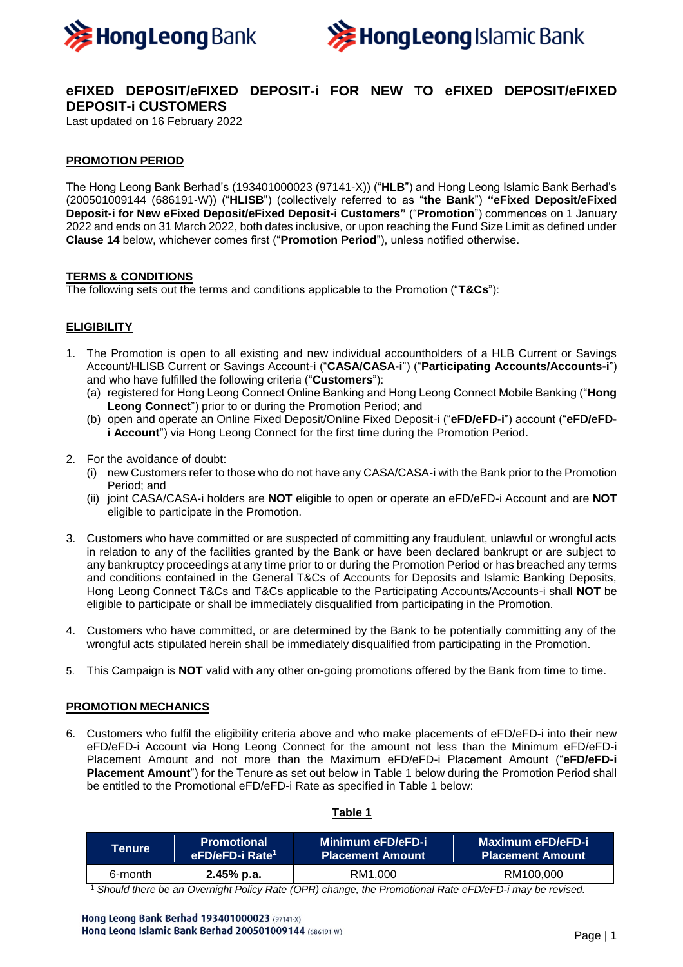



# **eFIXED DEPOSIT/eFIXED DEPOSIT-i FOR NEW TO eFIXED DEPOSIT/eFIXED DEPOSIT-i CUSTOMERS**

Last updated on 16 February 2022

# **PROMOTION PERIOD**

The Hong Leong Bank Berhad's (193401000023 (97141-X)) ("**HLB**") and Hong Leong Islamic Bank Berhad's (200501009144 (686191-W)) ("**HLISB**") (collectively referred to as "**the Bank**") **"eFixed Deposit/eFixed Deposit-i for New eFixed Deposit/eFixed Deposit-i Customers"** ("**Promotion**") commences on 1 January 2022 and ends on 31 March 2022, both dates inclusive, or upon reaching the Fund Size Limit as defined under **Clause 14** below, whichever comes first ("**Promotion Period**"), unless notified otherwise.

### **TERMS & CONDITIONS**

The following sets out the terms and conditions applicable to the Promotion ("**T&Cs**"):

# **ELIGIBILITY**

- 1. The Promotion is open to all existing and new individual accountholders of a HLB Current or Savings Account/HLISB Current or Savings Account-i ("**CASA/CASA-i**") ("**Participating Accounts/Accounts-i**") and who have fulfilled the following criteria ("**Customers**"):
	- (a) registered for Hong Leong Connect Online Banking and Hong Leong Connect Mobile Banking ("**Hong Leong Connect**") prior to or during the Promotion Period; and
	- (b) open and operate an Online Fixed Deposit/Online Fixed Deposit-i ("**eFD/eFD-i**") account ("**eFD/eFDi Account**") via Hong Leong Connect for the first time during the Promotion Period.
- 2. For the avoidance of doubt:
	- (i) new Customers refer to those who do not have any CASA/CASA-i with the Bank prior to the Promotion Period; and
	- (ii) joint CASA/CASA-i holders are **NOT** eligible to open or operate an eFD/eFD-i Account and are **NOT**  eligible to participate in the Promotion.
- 3. Customers who have committed or are suspected of committing any fraudulent, unlawful or wrongful acts in relation to any of the facilities granted by the Bank or have been declared bankrupt or are subject to any bankruptcy proceedings at any time prior to or during the Promotion Period or has breached any terms and conditions contained in the General T&Cs of Accounts for Deposits and Islamic Banking Deposits, Hong Leong Connect T&Cs and T&Cs applicable to the Participating Accounts/Accounts-i shall **NOT** be eligible to participate or shall be immediately disqualified from participating in the Promotion.
- 4. Customers who have committed, or are determined by the Bank to be potentially committing any of the wrongful acts stipulated herein shall be immediately disqualified from participating in the Promotion.
- 5. This Campaign is **NOT** valid with any other on-going promotions offered by the Bank from time to time.

### **PROMOTION MECHANICS**

6. Customers who fulfil the eligibility criteria above and who make placements of eFD/eFD-i into their new eFD/eFD-i Account via Hong Leong Connect for the amount not less than the Minimum eFD/eFD-i Placement Amount and not more than the Maximum eFD/eFD-i Placement Amount ("**eFD/eFD-i Placement Amount**") for the Tenure as set out below in Table 1 below during the Promotion Period shall be entitled to the Promotional eFD/eFD-i Rate as specified in Table 1 below:

## **Table 1**

| <b>Tenure</b> | <b>Promotional</b>          | Minimum eFD/eFD-i       | Maximum eFD/eFD-i       |
|---------------|-----------------------------|-------------------------|-------------------------|
|               | eFD/eFD-i Rate <sup>1</sup> | <b>Placement Amount</b> | <b>Placement Amount</b> |
| 6-month       | $2.45%$ p.a.                | RM1.000                 | RM100,000               |

<sup>1</sup> *Should there be an Overnight Policy Rate (OPR) change, the Promotional Rate eFD/eFD-i may be revised.*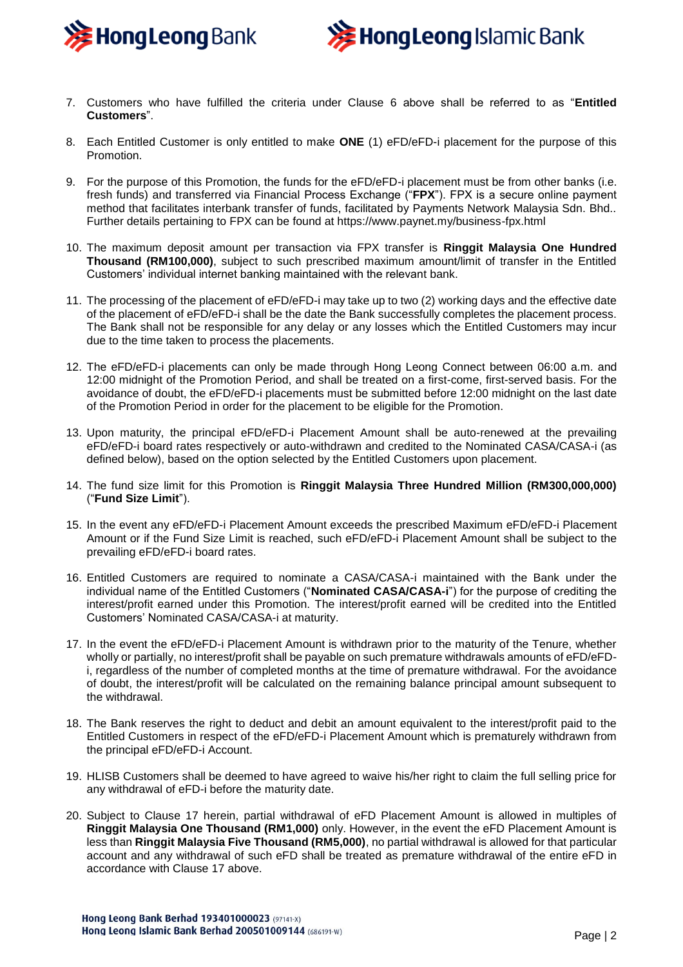



- 7. Customers who have fulfilled the criteria under Clause 6 above shall be referred to as "**Entitled Customers**".
- 8. Each Entitled Customer is only entitled to make **ONE** (1) eFD/eFD-i placement for the purpose of this Promotion.
- 9. For the purpose of this Promotion, the funds for the eFD/eFD-i placement must be from other banks (i.e. fresh funds) and transferred via Financial Process Exchange ("**FPX**"). FPX is a secure online payment method that facilitates interbank transfer of funds, facilitated by Payments Network Malaysia Sdn. Bhd.. Further details pertaining to FPX can be found at https://www.paynet.my/business-fpx.html
- 10. The maximum deposit amount per transaction via FPX transfer is **Ringgit Malaysia One Hundred Thousand (RM100,000)**, subject to such prescribed maximum amount/limit of transfer in the Entitled Customers' individual internet banking maintained with the relevant bank.
- 11. The processing of the placement of eFD/eFD-i may take up to two (2) working days and the effective date of the placement of eFD/eFD-i shall be the date the Bank successfully completes the placement process. The Bank shall not be responsible for any delay or any losses which the Entitled Customers may incur due to the time taken to process the placements.
- 12. The eFD/eFD-i placements can only be made through Hong Leong Connect between 06:00 a.m. and 12:00 midnight of the Promotion Period, and shall be treated on a first-come, first-served basis. For the avoidance of doubt, the eFD/eFD-i placements must be submitted before 12:00 midnight on the last date of the Promotion Period in order for the placement to be eligible for the Promotion.
- 13. Upon maturity, the principal eFD/eFD-i Placement Amount shall be auto-renewed at the prevailing eFD/eFD-i board rates respectively or auto-withdrawn and credited to the Nominated CASA/CASA-i (as defined below), based on the option selected by the Entitled Customers upon placement.
- 14. The fund size limit for this Promotion is **Ringgit Malaysia Three Hundred Million (RM300,000,000)** ("**Fund Size Limit**").
- 15. In the event any eFD/eFD-i Placement Amount exceeds the prescribed Maximum eFD/eFD-i Placement Amount or if the Fund Size Limit is reached, such eFD/eFD-i Placement Amount shall be subject to the prevailing eFD/eFD-i board rates.
- 16. Entitled Customers are required to nominate a CASA/CASA-i maintained with the Bank under the individual name of the Entitled Customers ("**Nominated CASA/CASA-i**") for the purpose of crediting the interest/profit earned under this Promotion. The interest/profit earned will be credited into the Entitled Customers' Nominated CASA/CASA-i at maturity.
- 17. In the event the eFD/eFD-i Placement Amount is withdrawn prior to the maturity of the Tenure, whether wholly or partially, no interest/profit shall be payable on such premature withdrawals amounts of eFD/eFDi, regardless of the number of completed months at the time of premature withdrawal. For the avoidance of doubt, the interest/profit will be calculated on the remaining balance principal amount subsequent to the withdrawal.
- 18. The Bank reserves the right to deduct and debit an amount equivalent to the interest/profit paid to the Entitled Customers in respect of the eFD/eFD-i Placement Amount which is prematurely withdrawn from the principal eFD/eFD-i Account.
- 19. HLISB Customers shall be deemed to have agreed to waive his/her right to claim the full selling price for any withdrawal of eFD-i before the maturity date.
- 20. Subject to Clause 17 herein, partial withdrawal of eFD Placement Amount is allowed in multiples of **Ringgit Malaysia One Thousand (RM1,000)** only. However, in the event the eFD Placement Amount is less than **Ringgit Malaysia Five Thousand (RM5,000)**, no partial withdrawal is allowed for that particular account and any withdrawal of such eFD shall be treated as premature withdrawal of the entire eFD in accordance with Clause 17 above.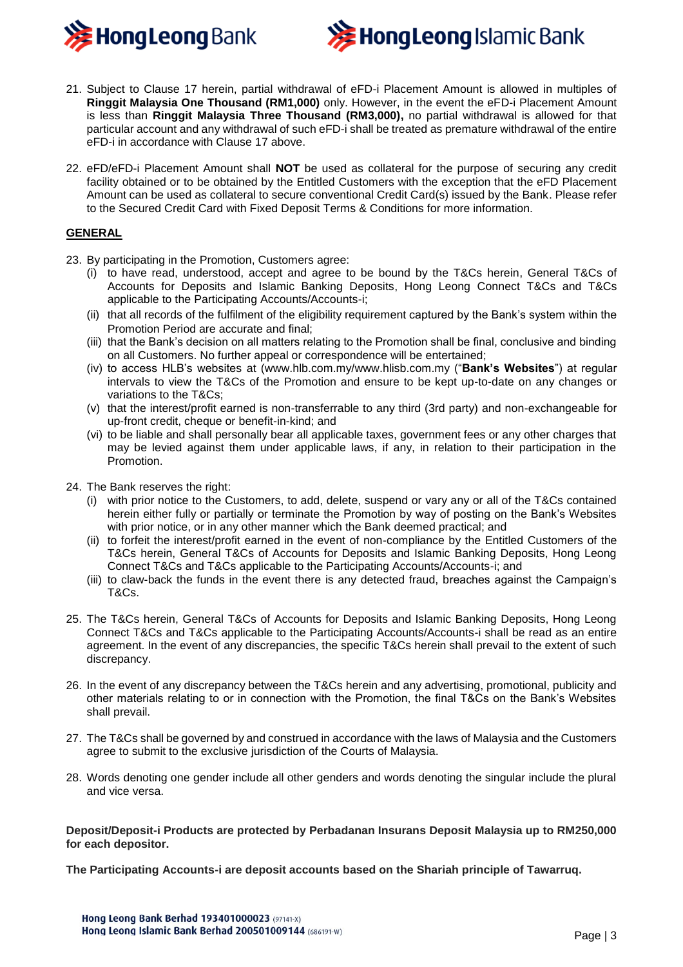



- 21. Subject to Clause 17 herein, partial withdrawal of eFD-i Placement Amount is allowed in multiples of **Ringgit Malaysia One Thousand (RM1,000)** only. However, in the event the eFD-i Placement Amount is less than **Ringgit Malaysia Three Thousand (RM3,000),** no partial withdrawal is allowed for that particular account and any withdrawal of such eFD-i shall be treated as premature withdrawal of the entire eFD-i in accordance with Clause 17 above.
- 22. eFD/eFD-i Placement Amount shall **NOT** be used as collateral for the purpose of securing any credit facility obtained or to be obtained by the Entitled Customers with the exception that the eFD Placement Amount can be used as collateral to secure conventional Credit Card(s) issued by the Bank. Please refer to the Secured Credit Card with Fixed Deposit Terms & Conditions for more information.

# **GENERAL**

- 23. By participating in the Promotion, Customers agree:
	- (i) to have read, understood, accept and agree to be bound by the T&Cs herein, General T&Cs of Accounts for Deposits and Islamic Banking Deposits, Hong Leong Connect T&Cs and T&Cs applicable to the Participating Accounts/Accounts-i;
	- (ii) that all records of the fulfilment of the eligibility requirement captured by the Bank's system within the Promotion Period are accurate and final;
	- (iii) that the Bank's decision on all matters relating to the Promotion shall be final, conclusive and binding on all Customers. No further appeal or correspondence will be entertained;
	- (iv) to access HLB's websites at (www.hlb.com.my/www.hlisb.com.my ("**Bank's Websites**") at regular intervals to view the T&Cs of the Promotion and ensure to be kept up-to-date on any changes or variations to the T&Cs;
	- (v) that the interest/profit earned is non-transferrable to any third (3rd party) and non-exchangeable for up-front credit, cheque or benefit-in-kind; and
	- (vi) to be liable and shall personally bear all applicable taxes, government fees or any other charges that may be levied against them under applicable laws, if any, in relation to their participation in the Promotion.
- 24. The Bank reserves the right:
	- (i) with prior notice to the Customers, to add, delete, suspend or vary any or all of the T&Cs contained herein either fully or partially or terminate the Promotion by way of posting on the Bank's Websites with prior notice, or in any other manner which the Bank deemed practical; and
	- (ii) to forfeit the interest/profit earned in the event of non-compliance by the Entitled Customers of the T&Cs herein, General T&Cs of Accounts for Deposits and Islamic Banking Deposits, Hong Leong Connect T&Cs and T&Cs applicable to the Participating Accounts/Accounts-i; and
	- (iii) to claw-back the funds in the event there is any detected fraud, breaches against the Campaign's T&Cs.
- 25. The T&Cs herein, General T&Cs of Accounts for Deposits and Islamic Banking Deposits, Hong Leong Connect T&Cs and T&Cs applicable to the Participating Accounts/Accounts-i shall be read as an entire agreement. In the event of any discrepancies, the specific T&Cs herein shall prevail to the extent of such discrepancy.
- 26. In the event of any discrepancy between the T&Cs herein and any advertising, promotional, publicity and other materials relating to or in connection with the Promotion, the final T&Cs on the Bank's Websites shall prevail.
- 27. The T&Cs shall be governed by and construed in accordance with the laws of Malaysia and the Customers agree to submit to the exclusive jurisdiction of the Courts of Malaysia.
- 28. Words denoting one gender include all other genders and words denoting the singular include the plural and vice versa.

**Deposit/Deposit-i Products are protected by Perbadanan Insurans Deposit Malaysia up to RM250,000 for each depositor.**

**The Participating Accounts-i are deposit accounts based on the Shariah principle of Tawarruq.**